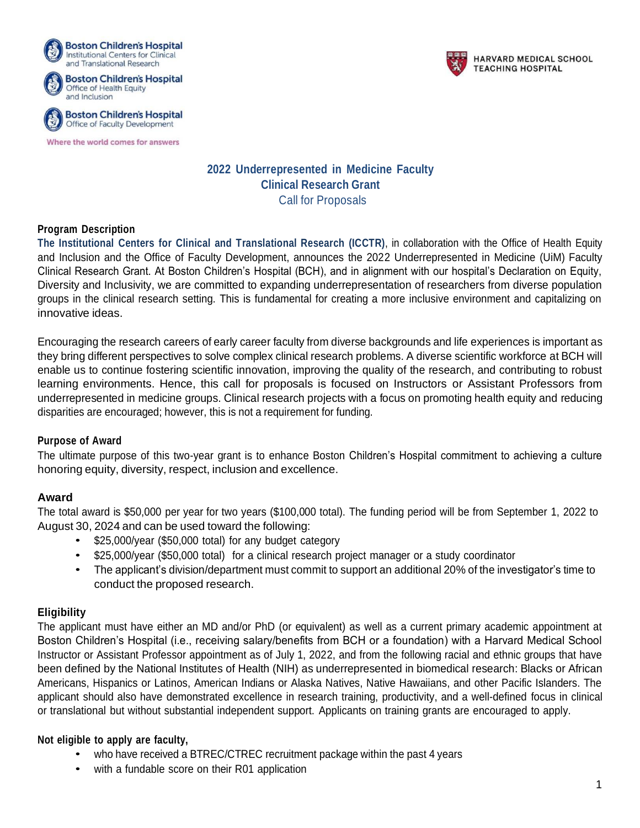

Where the world comes for answers



**HARVARD MEDICAL SCHOOL TEACHING HOSPITAL** 

# **2022 Underrepresented in Medicine Faculty Clinical Research Grant** Call for Proposals

## **Program Description**

**The Institutional Centers for Clinical and Translational Research (ICCTR)**, in collaboration with the Office of Health Equity and Inclusion and the Office of Faculty Development, announces the 2022 Underrepresented in Medicine (UiM) Faculty Clinical Research Grant. At Boston Children's Hospital (BCH), and in alignment with our hospital's Declaration on Equity, Diversity and Inclusivity, we are committed to expanding underrepresentation of researchers from diverse population groups in the clinical research setting. This is fundamental for creating a more inclusive environment and capitalizing on innovative ideas.

Encouraging the research careers of early career faculty from diverse backgrounds and life experiences is important as they bring different perspectives to solve complex clinical research problems. A diverse scientific workforce at BCH will enable us to continue fostering scientific innovation, improving the quality of the research, and contributing to robust learning environments. Hence, this call for proposals is focused on Instructors or Assistant Professors from underrepresented in medicine groups. Clinical research projects with a focus on promoting health equity and reducing disparities are encouraged; however, this is not a requirement for funding.

#### **Purpose of Award**

The ultimate purpose of this two-year grant is to enhance Boston Children's Hospital commitment to achieving a culture honoring equity, diversity, respect, inclusion and excellence.

## **Award**

The total award is \$50,000 per year for two years (\$100,000 total). The funding period will be from September 1, 2022 to August 30, 2024 and can be used toward the following:

- \$25,000/year (\$50,000 total) for any budget category
- \$25,000/year (\$50,000 total) for a clinical research project manager or a study coordinator
- The applicant's division/department must commit to support an additional 20% of the investigator's time to conduct the proposed research.

## **Eligibility**

The applicant must have either an MD and/or PhD (or equivalent) as well as a current primary academic appointment at Boston Children's Hospital (i.e., receiving salary/benefits from BCH or a foundation) with a Harvard Medical School Instructor or Assistant Professor appointment as of July 1, 2022, and from the following racial and ethnic groups that have been defined by the National Institutes of Health (NIH) as underrepresented in biomedical research: Blacks or African Americans, Hispanics or Latinos, American Indians or Alaska Natives, Native Hawaiians, and other Pacific Islanders. The applicant should also have demonstrated excellence in research training, productivity, and a well-defined focus in clinical or translational but without substantial independent support. Applicants on training grants are encouraged to apply.

#### **Not eligible to apply are faculty,**

- who have received a BTREC/CTREC recruitment package within the past 4 years
- with a fundable score on their R01 application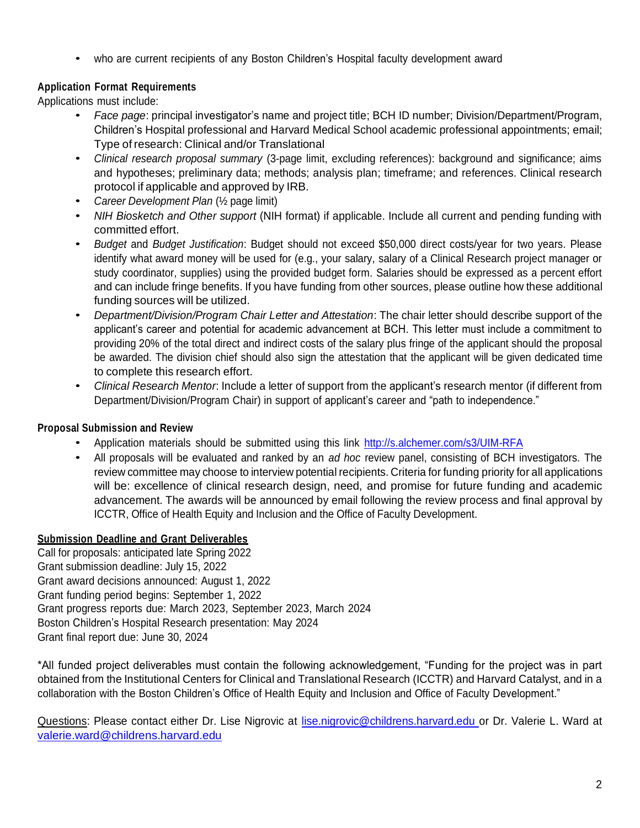• who are current recipients of any Boston Children's Hospital faculty development award

# **Application Format Requirements**

Applications must include:

- *Face page*: principal investigator's name and project title; BCH ID number; Division/Department/Program, Children's Hospital professional and Harvard Medical School academic professional appointments; email; Type of research: Clinical and/or Translational
- *Clinical research proposal summary* (3-page limit, excluding references): background and significance; aims and hypotheses; preliminary data; methods; analysis plan; timeframe; and references. Clinical research protocol if applicable and approved by IRB.
- *Career Development Plan* (½ page limit)
- *NIH Biosketch and Other support* (NIH format) if applicable. Include all current and pending funding with committed effort.
- *Budget* and *Budget Justification*: Budget should not exceed \$50,000 direct costs/year for two years. Please identify what award money will be used for (e.g., your salary, salary of a Clinical Research project manager or study coordinator, supplies) using the provided budget form. Salaries should be expressed as a percent effort and can include fringe benefits. If you have funding from other sources, please outline how these additional funding sources will be utilized.
- *Department/Division/Program Chair Letter and Attestation*: The chair letter should describe support of the applicant's career and potential for academic advancement at BCH. This letter must include a commitment to providing 20% of the total direct and indirect costs of the salary plus fringe of the applicant should the proposal be awarded. The division chief should also sign the attestation that the applicant will be given dedicated time to complete this research effort.
- *Clinical Research Mentor*: Include a letter of support from the applicant's research mentor (if different from Department/Division/Program Chair) in support of applicant's career and "path to independence."

## **Proposal Submission and Review**

- Application materials should be submitted using this link <http://s.alchemer.com/s3/UIM-RFA>
- All proposals will be evaluated and ranked by an *ad hoc* review panel, consisting of BCH investigators. The review committee may choose to interview potential recipients. Criteria for funding priority for all applications will be: excellence of clinical research design, need, and promise for future funding and academic advancement. The awards will be announced by email following the review process and final approval by ICCTR, Office of Health Equity and Inclusion and the Office of Faculty Development.

## **Submission Deadline and Grant Deliverables**

Call for proposals: anticipated late Spring 2022 Grant submission deadline: July 15, 2022 Grant award decisions announced: August 1, 2022 Grant funding period begins: September 1, 2022 Grant progress reports due: March 2023, September 2023, March 2024 Boston Children's Hospital Research presentation: May 2024 Grant final report due: June 30, 2024

\*All funded project deliverables must contain the following acknowledgement, "Funding for the project was in part obtained from the Institutional Centers for Clinical and Translational Research (ICCTR) and Harvard Catalyst, and in a collaboration with the Boston Children's Office of Health Equity and Inclusion and Office of Faculty Development."

Questions: Please contact either Dr. Lise Nigrovic at [lise.nigrovic@childrens.harvard.edu](mailto:lise.nigrovic@childrens.harvard.edu) or Dr. Valerie L. Ward at [valerie.ward@childrens.harvard.edu](mailto:valerie.ward@childrens.harvard.edu)